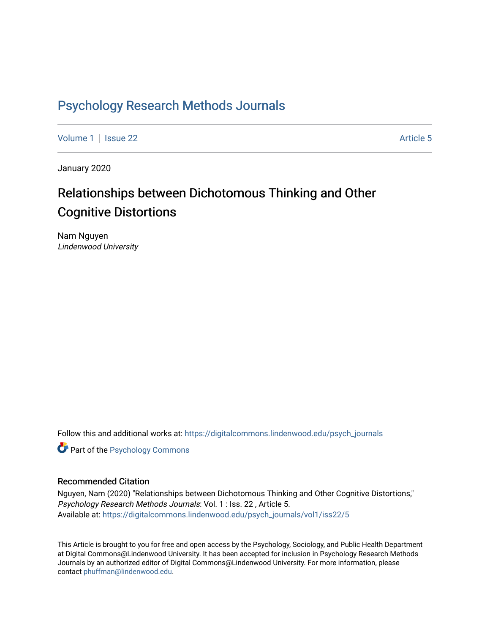## [Psychology Research Methods Journals](https://digitalcommons.lindenwood.edu/psych_journals)

[Volume 1](https://digitalcommons.lindenwood.edu/psych_journals/vol1) | [Issue 22](https://digitalcommons.lindenwood.edu/psych_journals/vol1/iss22) Article 5

January 2020

# Relationships between Dichotomous Thinking and Other Cognitive Distortions

Nam Nguyen Lindenwood University

Follow this and additional works at: [https://digitalcommons.lindenwood.edu/psych\\_journals](https://digitalcommons.lindenwood.edu/psych_journals?utm_source=digitalcommons.lindenwood.edu%2Fpsych_journals%2Fvol1%2Fiss22%2F5&utm_medium=PDF&utm_campaign=PDFCoverPages) 

**Part of the Psychology Commons** 

#### Recommended Citation

Nguyen, Nam (2020) "Relationships between Dichotomous Thinking and Other Cognitive Distortions," Psychology Research Methods Journals: Vol. 1 : Iss. 22 , Article 5. Available at: [https://digitalcommons.lindenwood.edu/psych\\_journals/vol1/iss22/5](https://digitalcommons.lindenwood.edu/psych_journals/vol1/iss22/5?utm_source=digitalcommons.lindenwood.edu%2Fpsych_journals%2Fvol1%2Fiss22%2F5&utm_medium=PDF&utm_campaign=PDFCoverPages) 

This Article is brought to you for free and open access by the Psychology, Sociology, and Public Health Department at Digital Commons@Lindenwood University. It has been accepted for inclusion in Psychology Research Methods Journals by an authorized editor of Digital Commons@Lindenwood University. For more information, please contact [phuffman@lindenwood.edu.](mailto:phuffman@lindenwood.edu)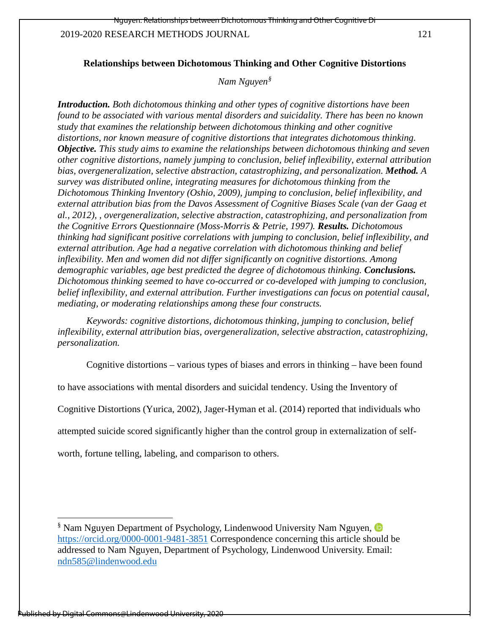1

#### **Relationships between Dichotomous Thinking and Other Cognitive Distortions**

#### *Nam Nguyen[§](#page-1-0)*

*Introduction. Both dichotomous thinking and other types of cognitive distortions have been found to be associated with various mental disorders and suicidality. There has been no known study that examines the relationship between dichotomous thinking and other cognitive distortions, nor known measure of cognitive distortions that integrates dichotomous thinking. Objective. This study aims to examine the relationships between dichotomous thinking and seven other cognitive distortions, namely jumping to conclusion, belief inflexibility, external attribution bias, overgeneralization, selective abstraction, catastrophizing, and personalization. Method. A survey was distributed online, integrating measures for dichotomous thinking from the Dichotomous Thinking Inventory (Oshio, 2009), jumping to conclusion, belief inflexibility, and external attribution bias from the Davos Assessment of Cognitive Biases Scale (van der Gaag et al., 2012), , overgeneralization, selective abstraction, catastrophizing, and personalization from the Cognitive Errors Questionnaire (Moss-Morris & Petrie, 1997). Results. Dichotomous thinking had significant positive correlations with jumping to conclusion, belief inflexibility, and external attribution. Age had a negative correlation with dichotomous thinking and belief inflexibility. Men and women did not differ significantly on cognitive distortions. Among demographic variables, age best predicted the degree of dichotomous thinking. Conclusions. Dichotomous thinking seemed to have co-occurred or co-developed with jumping to conclusion, belief inflexibility, and external attribution. Further investigations can focus on potential causal, mediating, or moderating relationships among these four constructs.* 

*Keywords: cognitive distortions, dichotomous thinking, jumping to conclusion, belief inflexibility, external attribution bias, overgeneralization, selective abstraction, catastrophizing, personalization.* 

Cognitive distortions – various types of biases and errors in thinking – have been found

to have associations with mental disorders and suicidal tendency. Using the Inventory of

Cognitive Distortions (Yurica, 2002), Jager-Hyman et al. (2014) reported that individuals who

attempted suicide scored significantly higher than the control group in externalization of self-

worth, fortune telling, labeling, and comparison to others.

l

<span id="page-1-0"></span><sup>§</sup> Nam Nguyen Department of Psychology, Lindenwood University Nam Nguyen, <https://orcid.org/0000-0001-9481-3851> Correspondence concerning this article should be addressed to Nam Nguyen, Department of Psychology, Lindenwood University. Email: [ndn585@lindenwood.edu](mailto:ndn585@lindenwood.edu)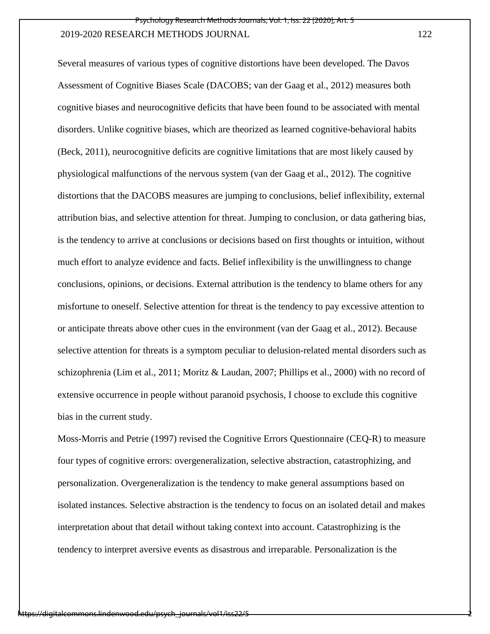Several measures of various types of cognitive distortions have been developed. The Davos Assessment of Cognitive Biases Scale (DACOBS; van der Gaag et al., 2012) measures both cognitive biases and neurocognitive deficits that have been found to be associated with mental disorders. Unlike cognitive biases, which are theorized as learned cognitive-behavioral habits (Beck, 2011), neurocognitive deficits are cognitive limitations that are most likely caused by physiological malfunctions of the nervous system (van der Gaag et al., 2012). The cognitive distortions that the DACOBS measures are jumping to conclusions, belief inflexibility, external attribution bias, and selective attention for threat. Jumping to conclusion, or data gathering bias, is the tendency to arrive at conclusions or decisions based on first thoughts or intuition, without much effort to analyze evidence and facts. Belief inflexibility is the unwillingness to change conclusions, opinions, or decisions. External attribution is the tendency to blame others for any misfortune to oneself. Selective attention for threat is the tendency to pay excessive attention to or anticipate threats above other cues in the environment (van der Gaag et al., 2012). Because selective attention for threats is a symptom peculiar to delusion-related mental disorders such as schizophrenia (Lim et al., 2011; Moritz & Laudan, 2007; Phillips et al., 2000) with no record of extensive occurrence in people without paranoid psychosis, I choose to exclude this cognitive bias in the current study.

Moss-Morris and Petrie (1997) revised the Cognitive Errors Questionnaire (CEQ-R) to measure four types of cognitive errors: overgeneralization, selective abstraction, catastrophizing, and personalization. Overgeneralization is the tendency to make general assumptions based on isolated instances. Selective abstraction is the tendency to focus on an isolated detail and makes interpretation about that detail without taking context into account. Catastrophizing is the tendency to interpret aversive events as disastrous and irreparable. Personalization is the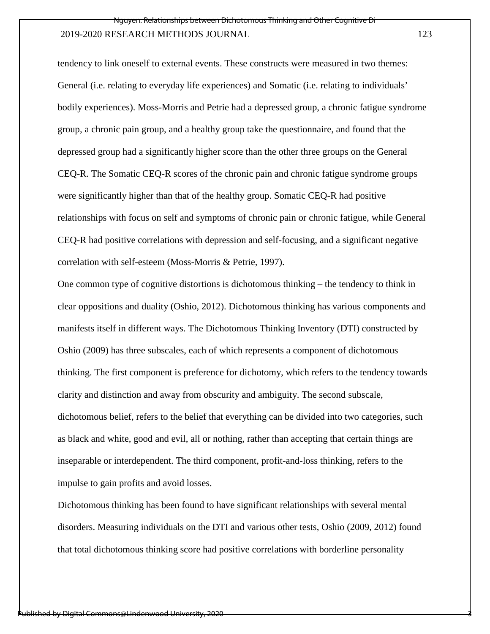tendency to link oneself to external events. These constructs were measured in two themes: General (i.e. relating to everyday life experiences) and Somatic (i.e. relating to individuals' bodily experiences). Moss-Morris and Petrie had a depressed group, a chronic fatigue syndrome group, a chronic pain group, and a healthy group take the questionnaire, and found that the depressed group had a significantly higher score than the other three groups on the General CEQ-R. The Somatic CEQ-R scores of the chronic pain and chronic fatigue syndrome groups were significantly higher than that of the healthy group. Somatic CEQ-R had positive relationships with focus on self and symptoms of chronic pain or chronic fatigue, while General CEQ-R had positive correlations with depression and self-focusing, and a significant negative correlation with self-esteem (Moss-Morris & Petrie, 1997).

One common type of cognitive distortions is dichotomous thinking – the tendency to think in clear oppositions and duality (Oshio, 2012). Dichotomous thinking has various components and manifests itself in different ways. The Dichotomous Thinking Inventory (DTI) constructed by Oshio (2009) has three subscales, each of which represents a component of dichotomous thinking. The first component is preference for dichotomy, which refers to the tendency towards clarity and distinction and away from obscurity and ambiguity. The second subscale, dichotomous belief, refers to the belief that everything can be divided into two categories, such as black and white, good and evil, all or nothing, rather than accepting that certain things are inseparable or interdependent. The third component, profit-and-loss thinking, refers to the impulse to gain profits and avoid losses.

Dichotomous thinking has been found to have significant relationships with several mental disorders. Measuring individuals on the DTI and various other tests, Oshio (2009, 2012) found that total dichotomous thinking score had positive correlations with borderline personality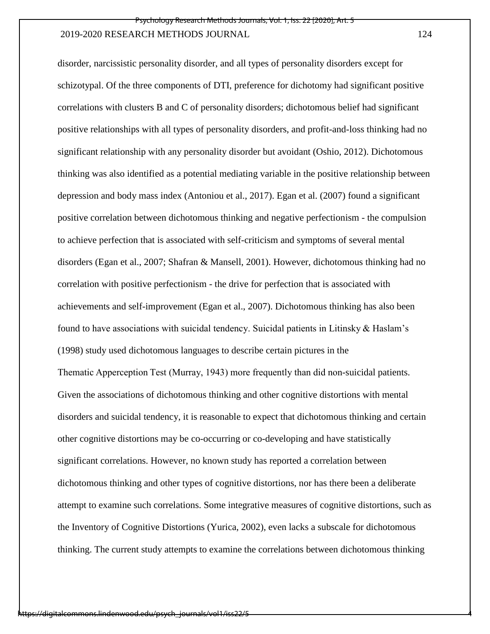disorder, narcissistic personality disorder, and all types of personality disorders except for schizotypal. Of the three components of DTI, preference for dichotomy had significant positive correlations with clusters B and C of personality disorders; dichotomous belief had significant positive relationships with all types of personality disorders, and profit-and-loss thinking had no significant relationship with any personality disorder but avoidant (Oshio, 2012). Dichotomous thinking was also identified as a potential mediating variable in the positive relationship between depression and body mass index (Antoniou et al., 2017). Egan et al. (2007) found a significant positive correlation between dichotomous thinking and negative perfectionism - the compulsion to achieve perfection that is associated with self-criticism and symptoms of several mental disorders (Egan et al., 2007; Shafran & Mansell, 2001). However, dichotomous thinking had no correlation with positive perfectionism - the drive for perfection that is associated with achievements and self-improvement (Egan et al., 2007). Dichotomous thinking has also been found to have associations with suicidal tendency. Suicidal patients in Litinsky & Haslam's (1998) study used dichotomous languages to describe certain pictures in the Thematic Apperception Test (Murray, 1943) more frequently than did non-suicidal patients. Given the associations of dichotomous thinking and other cognitive distortions with mental disorders and suicidal tendency, it is reasonable to expect that dichotomous thinking and certain other cognitive distortions may be co-occurring or co-developing and have statistically significant correlations. However, no known study has reported a correlation between dichotomous thinking and other types of cognitive distortions, nor has there been a deliberate attempt to examine such correlations. Some integrative measures of cognitive distortions, such as the Inventory of Cognitive Distortions (Yurica, 2002), even lacks a subscale for dichotomous thinking. The current study attempts to examine the correlations between dichotomous thinking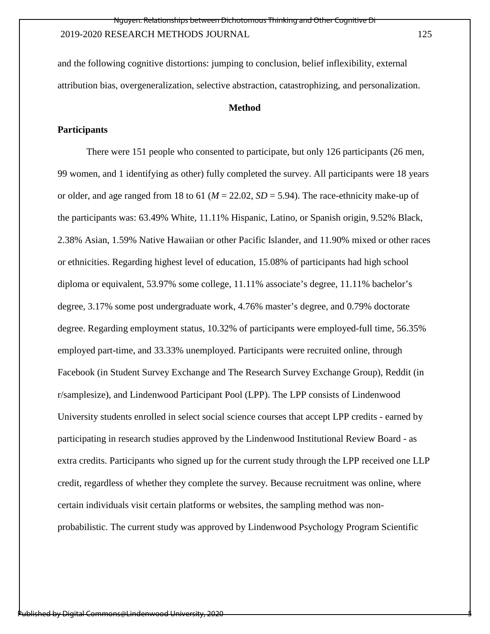and the following cognitive distortions: jumping to conclusion, belief inflexibility, external attribution bias, overgeneralization, selective abstraction, catastrophizing, and personalization.

#### **Method**

#### **Participants**

There were 151 people who consented to participate, but only 126 participants (26 men, 99 women, and 1 identifying as other) fully completed the survey. All participants were 18 years or older, and age ranged from 18 to 61 (*M* = 22.02, *SD* = 5.94). The race-ethnicity make-up of the participants was: 63.49% White, 11.11% Hispanic, Latino, or Spanish origin, 9.52% Black, 2.38% Asian, 1.59% Native Hawaiian or other Pacific Islander, and 11.90% mixed or other races or ethnicities. Regarding highest level of education, 15.08% of participants had high school diploma or equivalent, 53.97% some college, 11.11% associate's degree, 11.11% bachelor's degree, 3.17% some post undergraduate work, 4.76% master's degree, and 0.79% doctorate degree. Regarding employment status, 10.32% of participants were employed-full time, 56.35% employed part-time, and 33.33% unemployed. Participants were recruited online, through Facebook (in Student Survey Exchange and The Research Survey Exchange Group), Reddit (in r/samplesize), and Lindenwood Participant Pool (LPP). The LPP consists of Lindenwood University students enrolled in select social science courses that accept LPP credits - earned by participating in research studies approved by the Lindenwood Institutional Review Board - as extra credits. Participants who signed up for the current study through the LPP received one LLP credit, regardless of whether they complete the survey. Because recruitment was online, where certain individuals visit certain platforms or websites, the sampling method was nonprobabilistic. The current study was approved by Lindenwood Psychology Program Scientific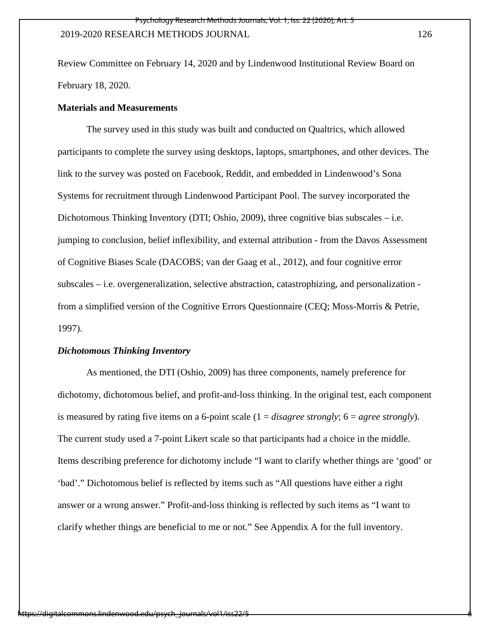Review Committee on February 14, 2020 and by Lindenwood Institutional Review Board on February 18, 2020.

#### **Materials and Measurements**

The survey used in this study was built and conducted on Qualtrics, which allowed participants to complete the survey using desktops, laptops, smartphones, and other devices. The link to the survey was posted on Facebook, Reddit, and embedded in Lindenwood's Sona Systems for recruitment through Lindenwood Participant Pool. The survey incorporated the Dichotomous Thinking Inventory (DTI; Oshio, 2009), three cognitive bias subscales – i.e. jumping to conclusion, belief inflexibility, and external attribution - from the Davos Assessment of Cognitive Biases Scale (DACOBS; van der Gaag et al., 2012), and four cognitive error subscales – i.e. overgeneralization, selective abstraction, catastrophizing, and personalization from a simplified version of the Cognitive Errors Questionnaire (CEQ; Moss-Morris & Petrie, 1997).

#### *Dichotomous Thinking Inventory*

As mentioned, the DTI (Oshio, 2009) has three components, namely preference for dichotomy, dichotomous belief, and profit-and-loss thinking. In the original test, each component is measured by rating five items on a 6-point scale (1 = *disagree strongly*; 6 = *agree strongly*). The current study used a 7-point Likert scale so that participants had a choice in the middle. Items describing preference for dichotomy include "I want to clarify whether things are 'good' or 'bad'." Dichotomous belief is reflected by items such as "All questions have either a right answer or a wrong answer." Profit-and-loss thinking is reflected by such items as "I want to clarify whether things are beneficial to me or not." See Appendix A for the full inventory.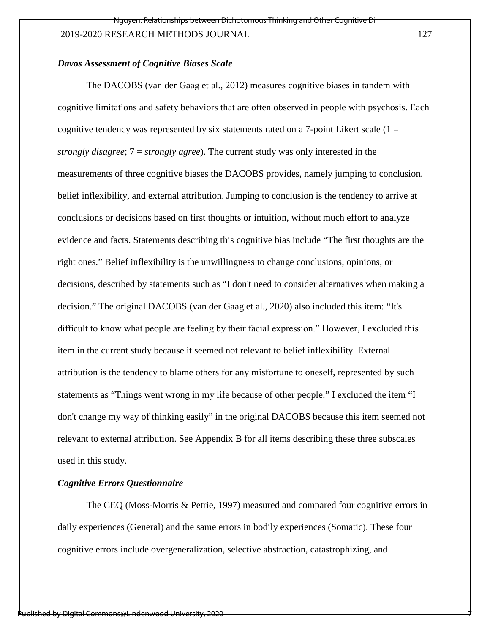#### *Davos Assessment of Cognitive Biases Scale*

The DACOBS (van der Gaag et al., 2012) measures cognitive biases in tandem with cognitive limitations and safety behaviors that are often observed in people with psychosis. Each cognitive tendency was represented by six statements rated on a 7-point Likert scale  $(1 =$ *strongly disagree*; 7 = *strongly agree*). The current study was only interested in the measurements of three cognitive biases the DACOBS provides, namely jumping to conclusion, belief inflexibility, and external attribution. Jumping to conclusion is the tendency to arrive at conclusions or decisions based on first thoughts or intuition, without much effort to analyze evidence and facts. Statements describing this cognitive bias include "The first thoughts are the right ones." Belief inflexibility is the unwillingness to change conclusions, opinions, or decisions, described by statements such as "I don't need to consider alternatives when making a decision." The original DACOBS (van der Gaag et al., 2020) also included this item: "It's difficult to know what people are feeling by their facial expression." However, I excluded this item in the current study because it seemed not relevant to belief inflexibility. External attribution is the tendency to blame others for any misfortune to oneself, represented by such statements as "Things went wrong in my life because of other people." I excluded the item "I don't change my way of thinking easily" in the original DACOBS because this item seemed not relevant to external attribution. See Appendix B for all items describing these three subscales used in this study.

#### *Cognitive Errors Questionnaire*

The CEQ (Moss-Morris & Petrie, 1997) measured and compared four cognitive errors in daily experiences (General) and the same errors in bodily experiences (Somatic). These four cognitive errors include overgeneralization, selective abstraction, catastrophizing, and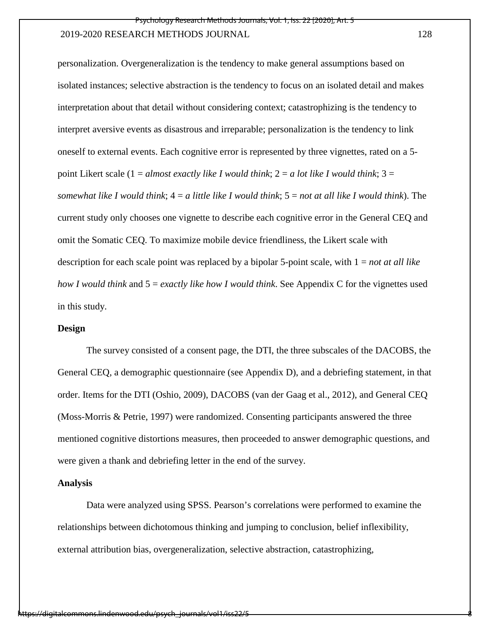personalization. Overgeneralization is the tendency to make general assumptions based on isolated instances; selective abstraction is the tendency to focus on an isolated detail and makes interpretation about that detail without considering context; catastrophizing is the tendency to interpret aversive events as disastrous and irreparable; personalization is the tendency to link oneself to external events. Each cognitive error is represented by three vignettes, rated on a 5 point Likert scale (1 = *almost exactly like I would think*; 2 = *a lot like I would think*; 3 = *somewhat like I would think*; 4 = *a little like I would think*; 5 = *not at all like I would think*). The current study only chooses one vignette to describe each cognitive error in the General CEQ and omit the Somatic CEQ. To maximize mobile device friendliness, the Likert scale with description for each scale point was replaced by a bipolar 5-point scale, with 1 = *not at all like how I would think* and 5 = *exactly like how I would think*. See Appendix C for the vignettes used in this study.

#### **Design**

The survey consisted of a consent page, the DTI, the three subscales of the DACOBS, the General CEQ, a demographic questionnaire (see Appendix D), and a debriefing statement, in that order. Items for the DTI (Oshio, 2009), DACOBS (van der Gaag et al., 2012), and General CEQ (Moss-Morris & Petrie, 1997) were randomized. Consenting participants answered the three mentioned cognitive distortions measures, then proceeded to answer demographic questions, and were given a thank and debriefing letter in the end of the survey.

#### **Analysis**

Data were analyzed using SPSS. Pearson's correlations were performed to examine the relationships between dichotomous thinking and jumping to conclusion, belief inflexibility, external attribution bias, overgeneralization, selective abstraction, catastrophizing,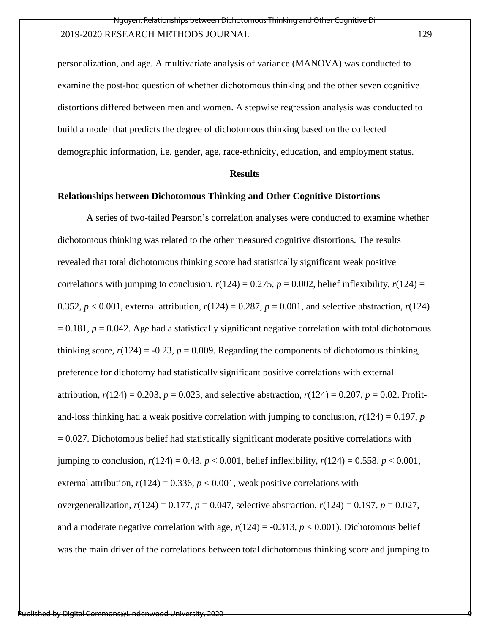personalization, and age. A multivariate analysis of variance (MANOVA) was conducted to examine the post-hoc question of whether dichotomous thinking and the other seven cognitive distortions differed between men and women. A stepwise regression analysis was conducted to build a model that predicts the degree of dichotomous thinking based on the collected demographic information, i.e. gender, age, race-ethnicity, education, and employment status.

#### **Results**

#### **Relationships between Dichotomous Thinking and Other Cognitive Distortions**

A series of two-tailed Pearson's correlation analyses were conducted to examine whether dichotomous thinking was related to the other measured cognitive distortions. The results revealed that total dichotomous thinking score had statistically significant weak positive correlations with jumping to conclusion,  $r(124) = 0.275$ ,  $p = 0.002$ , belief inflexibility,  $r(124) =$ 0.352,  $p < 0.001$ , external attribution,  $r(124) = 0.287$ ,  $p = 0.001$ , and selective abstraction,  $r(124)$  $= 0.181, p = 0.042$ . Age had a statistically significant negative correlation with total dichotomous thinking score,  $r(124) = -0.23$ ,  $p = 0.009$ . Regarding the components of dichotomous thinking, preference for dichotomy had statistically significant positive correlations with external attribution,  $r(124) = 0.203$ ,  $p = 0.023$ , and selective abstraction,  $r(124) = 0.207$ ,  $p = 0.02$ . Profitand-loss thinking had a weak positive correlation with jumping to conclusion,  $r(124) = 0.197$ , *p*  $= 0.027$ . Dichotomous belief had statistically significant moderate positive correlations with jumping to conclusion,  $r(124) = 0.43$ ,  $p < 0.001$ , belief inflexibility,  $r(124) = 0.558$ ,  $p < 0.001$ , external attribution,  $r(124) = 0.336$ ,  $p < 0.001$ , weak positive correlations with overgeneralization,  $r(124) = 0.177$ ,  $p = 0.047$ , selective abstraction,  $r(124) = 0.197$ ,  $p = 0.027$ , and a moderate negative correlation with age,  $r(124) = -0.313$ ,  $p < 0.001$ ). Dichotomous belief was the main driver of the correlations between total dichotomous thinking score and jumping to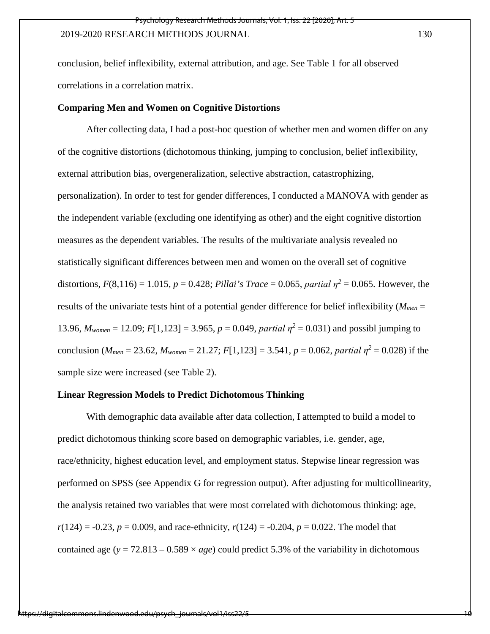conclusion, belief inflexibility, external attribution, and age. See Table 1 for all observed correlations in a correlation matrix.

#### **Comparing Men and Women on Cognitive Distortions**

After collecting data, I had a post-hoc question of whether men and women differ on any of the cognitive distortions (dichotomous thinking, jumping to conclusion, belief inflexibility, external attribution bias, overgeneralization, selective abstraction, catastrophizing, personalization). In order to test for gender differences, I conducted a MANOVA with gender as the independent variable (excluding one identifying as other) and the eight cognitive distortion measures as the dependent variables. The results of the multivariate analysis revealed no statistically significant differences between men and women on the overall set of cognitive distortions,  $F(8,116) = 1.015$ ,  $p = 0.428$ ; *Pillai's Trace* = 0.065, *partial*  $\eta^2 = 0.065$ . However, the results of the univariate tests hint of a potential gender difference for belief inflexibility (*Mmen* = 13.96,  $M_{women} = 12.09$ ;  $F[1,123] = 3.965$ ,  $p = 0.049$ , *partial*  $\eta^2 = 0.031$ ) and possibl jumping to conclusion ( $M_{men} = 23.62$ ,  $M_{woman} = 21.27$ ;  $F[1,123] = 3.541$ ,  $p = 0.062$ , *partial*  $\eta^2 = 0.028$ ) if the sample size were increased (see Table 2).

## **Linear Regression Models to Predict Dichotomous Thinking**

With demographic data available after data collection, I attempted to build a model to predict dichotomous thinking score based on demographic variables, i.e. gender, age, race/ethnicity, highest education level, and employment status. Stepwise linear regression was performed on SPSS (see Appendix G for regression output). After adjusting for multicollinearity, the analysis retained two variables that were most correlated with dichotomous thinking: age,  $r(124) = -0.23$ ,  $p = 0.009$ , and race-ethnicity,  $r(124) = -0.204$ ,  $p = 0.022$ . The model that contained age ( $y = 72.813 - 0.589 \times age$ ) could predict 5.3% of the variability in dichotomous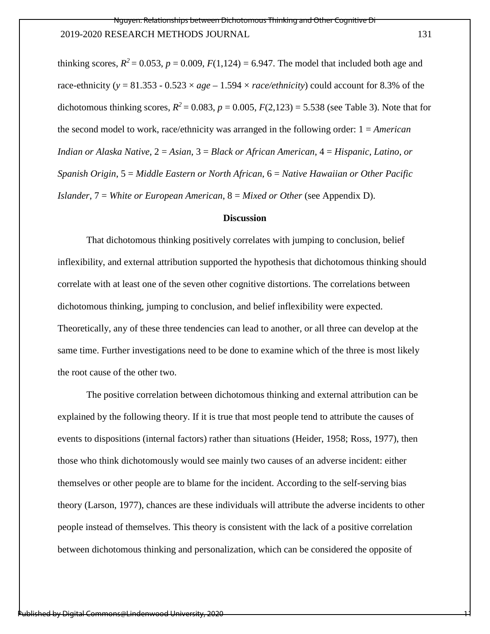thinking scores,  $R^2 = 0.053$ ,  $p = 0.009$ ,  $F(1,124) = 6.947$ . The model that included both age and race-ethnicity ( $y = 81.353 - 0.523 \times age - 1.594 \times race/ethnicity$ ) could account for 8.3% of the dichotomous thinking scores,  $R^2 = 0.083$ ,  $p = 0.005$ ,  $F(2,123) = 5.538$  (see Table 3). Note that for the second model to work, race/ethnicity was arranged in the following order: 1 = *American Indian or Alaska Native*, 2 = *Asian*, 3 = *Black or African American*, 4 = *Hispanic, Latino, or Spanish Origin*, 5 = *Middle Eastern or North African*, 6 = *Native Hawaiian or Other Pacific Islander*, 7 = *White or European American*, 8 = *Mixed or Other* (see Appendix D).

#### **Discussion**

That dichotomous thinking positively correlates with jumping to conclusion, belief inflexibility, and external attribution supported the hypothesis that dichotomous thinking should correlate with at least one of the seven other cognitive distortions. The correlations between dichotomous thinking, jumping to conclusion, and belief inflexibility were expected. Theoretically, any of these three tendencies can lead to another, or all three can develop at the same time. Further investigations need to be done to examine which of the three is most likely the root cause of the other two.

The positive correlation between dichotomous thinking and external attribution can be explained by the following theory. If it is true that most people tend to attribute the causes of events to dispositions (internal factors) rather than situations (Heider, 1958; Ross, 1977), then those who think dichotomously would see mainly two causes of an adverse incident: either themselves or other people are to blame for the incident. According to the self-serving bias theory (Larson, 1977), chances are these individuals will attribute the adverse incidents to other people instead of themselves. This theory is consistent with the lack of a positive correlation between dichotomous thinking and personalization, which can be considered the opposite of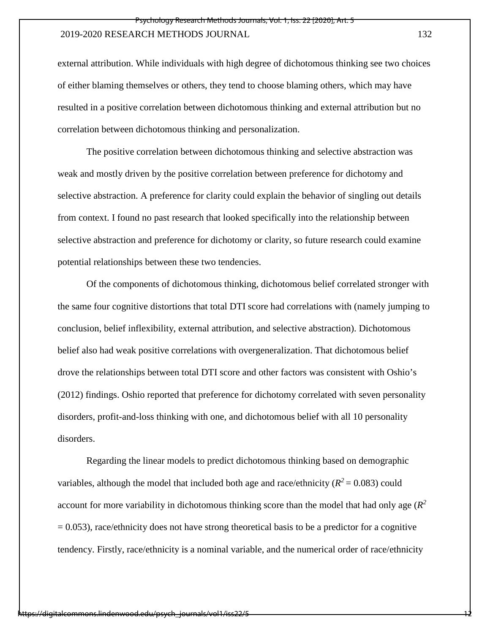external attribution. While individuals with high degree of dichotomous thinking see two choices of either blaming themselves or others, they tend to choose blaming others, which may have resulted in a positive correlation between dichotomous thinking and external attribution but no correlation between dichotomous thinking and personalization.

The positive correlation between dichotomous thinking and selective abstraction was weak and mostly driven by the positive correlation between preference for dichotomy and selective abstraction. A preference for clarity could explain the behavior of singling out details from context. I found no past research that looked specifically into the relationship between selective abstraction and preference for dichotomy or clarity, so future research could examine potential relationships between these two tendencies.

Of the components of dichotomous thinking, dichotomous belief correlated stronger with the same four cognitive distortions that total DTI score had correlations with (namely jumping to conclusion, belief inflexibility, external attribution, and selective abstraction). Dichotomous belief also had weak positive correlations with overgeneralization. That dichotomous belief drove the relationships between total DTI score and other factors was consistent with Oshio's (2012) findings. Oshio reported that preference for dichotomy correlated with seven personality disorders, profit-and-loss thinking with one, and dichotomous belief with all 10 personality disorders.

Regarding the linear models to predict dichotomous thinking based on demographic variables, although the model that included both age and race/ethnicity  $(R^2 = 0.083)$  could account for more variability in dichotomous thinking score than the model that had only age  $(R^2)$  $= 0.053$ ), race/ethnicity does not have strong theoretical basis to be a predictor for a cognitive tendency. Firstly, race/ethnicity is a nominal variable, and the numerical order of race/ethnicity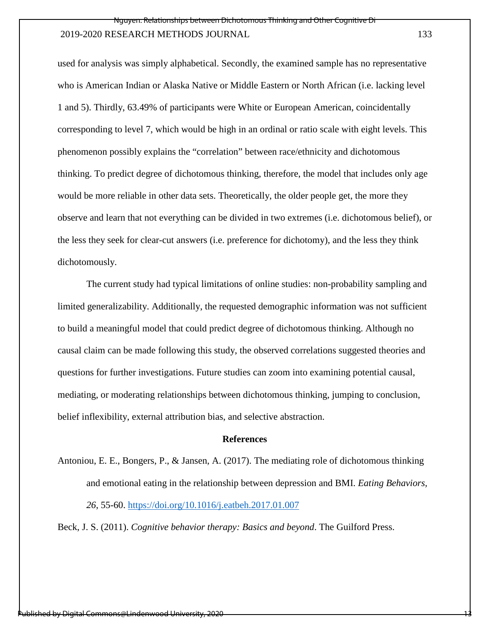used for analysis was simply alphabetical. Secondly, the examined sample has no representative who is American Indian or Alaska Native or Middle Eastern or North African (i.e. lacking level 1 and 5). Thirdly, 63.49% of participants were White or European American, coincidentally corresponding to level 7, which would be high in an ordinal or ratio scale with eight levels. This phenomenon possibly explains the "correlation" between race/ethnicity and dichotomous thinking. To predict degree of dichotomous thinking, therefore, the model that includes only age would be more reliable in other data sets. Theoretically, the older people get, the more they observe and learn that not everything can be divided in two extremes (i.e. dichotomous belief), or the less they seek for clear-cut answers (i.e. preference for dichotomy), and the less they think dichotomously.

The current study had typical limitations of online studies: non-probability sampling and limited generalizability. Additionally, the requested demographic information was not sufficient to build a meaningful model that could predict degree of dichotomous thinking. Although no causal claim can be made following this study, the observed correlations suggested theories and questions for further investigations. Future studies can zoom into examining potential causal, mediating, or moderating relationships between dichotomous thinking, jumping to conclusion, belief inflexibility, external attribution bias, and selective abstraction.

#### **References**

Antoniou, E. E., Bongers, P., & Jansen, A. (2017). The mediating role of dichotomous thinking and emotional eating in the relationship between depression and BMI. *Eating Behaviors, 26*, 55-60.<https://doi.org/10.1016/j.eatbeh.2017.01.007>

Beck, J. S. (2011). *Cognitive behavior therapy: Basics and beyond*. The Guilford Press.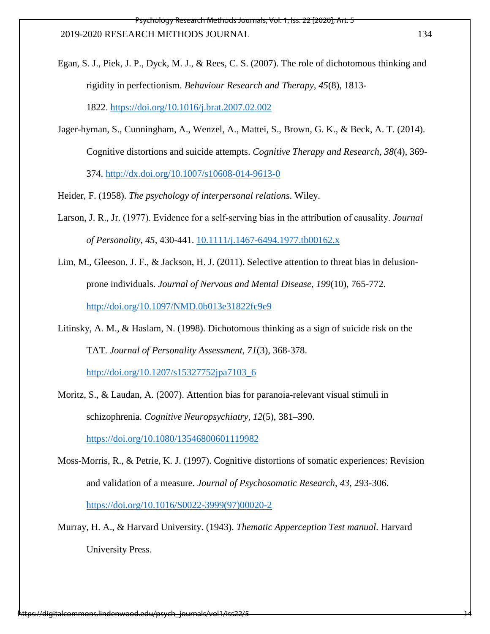- Egan, S. J., Piek, J. P., Dyck, M. J., & Rees, C. S. (2007). The role of dichotomous thinking and rigidity in perfectionism. *Behaviour Research and Therapy, 45*(8), 1813- 1822.<https://doi.org/10.1016/j.brat.2007.02.002>
- Jager-hyman, S., Cunningham, A., Wenzel, A., Mattei, S., Brown, G. K., & Beck, A. T. (2014). Cognitive distortions and suicide attempts. *Cognitive Therapy and Research, 38*(4), 369- 374.<http://dx.doi.org/10.1007/s10608-014-9613-0>

Heider, F. (1958). *The psychology of interpersonal relations*. Wiley.

- Larson, J. R., Jr. (1977). Evidence for a self‐serving bias in the attribution of causality. *Journal of Personality*, *45*, 430-441. [10.1111/j.1467-6494.1977.tb00162.x](https://doi.org/10.1111/j.1467-6494.1977.tb00162.x)
- Lim, M., Gleeson, J. F., & Jackson, H. J. (2011). Selective attention to threat bias in delusionprone individuals. *Journal of Nervous and Mental Disease*, *199*(10), 765-772. <http://doi.org/10.1097/NMD.0b013e31822fc9e9>
- Litinsky, A. M., & Haslam, N. (1998). Dichotomous thinking as a sign of suicide risk on the TAT. *Journal of Personality Assessment, 71*(3), 368-378.

[http://doi.org/10.1207/s15327752jpa7103\\_6](http://doi.org/10.1207/s15327752jpa7103_6)

Moritz, S., & Laudan, A. (2007). Attention bias for paranoia-relevant visual stimuli in schizophrenia. *Cognitive Neuropsychiatry*, *12*(5), 381–390.

<https://doi.org/10.1080/13546800601119982>

- Moss-Morris, R., & Petrie, K. J. (1997). Cognitive distortions of somatic experiences: Revision and validation of a measure. *Journal of Psychosomatic Research*, *43*, 293-306. [https://doi.org/10.1016/S0022-3999\(97\)00020-2](https://doi.org/10.1016/S0022-3999(97)00020-2)
- Murray, H. A., & Harvard University. (1943). *Thematic Apperception Test manual*. Harvard University Press.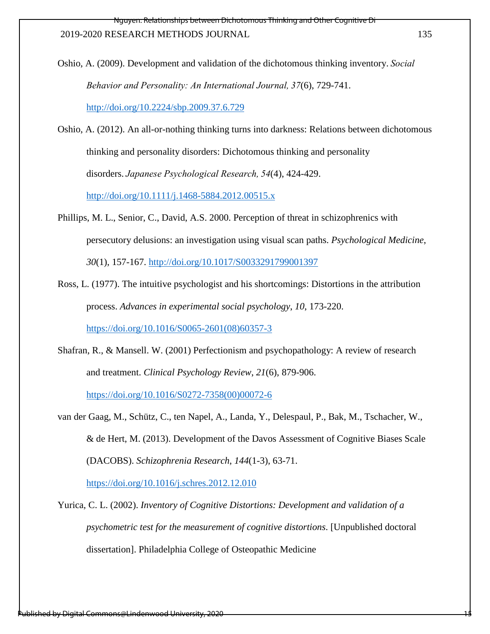Relationships between Dichotomous Thinking and Other Cognitive .

#### 2019-2020 RESEARCH METHODS JOURNAL 135

Oshio, A. (2009). Development and validation of the dichotomous thinking inventory.*Social Behavior and Personality: An International Journal, 37*(6), 729-741.

<http://doi.org/10.2224/sbp.2009.37.6.729>

Oshio, A. (2012). An all-or-nothing thinking turns into darkness: Relations between dichotomous thinking and personality disorders: Dichotomous thinking and personality disorders.*Japanese Psychological Research, 54*(4), 424-429.

<http://doi.org/10.1111/j.1468-5884.2012.00515.x>

- Phillips, M. L., Senior, C., David, A.S. 2000. Perception of threat in schizophrenics with persecutory delusions: an investigation using visual scan paths. *Psychological Medicine*, *30*(1), 157-167.<http://doi.org/10.1017/S0033291799001397>
- Ross, L. (1977). The intuitive psychologist and his shortcomings: Distortions in the attribution process. *Advances in experimental social psychology*, *10*, 173-220. [https://doi.org/10.1016/S0065-2601\(08\)60357-3](https://doi.org/10.1016/S0065-2601(08)60357-3)

Shafran, R., & Mansell. W. (2001) Perfectionism and psychopathology: A review of research and treatment. *Clinical Psychology Review*, *21*(6), 879-906.

[https://doi.org/10.1016/S0272-7358\(00\)00072-6](https://doi.org/10.1016/S0272-7358(00)00072-6)

van der Gaag, M., Schütz, C., ten Napel, A., Landa, Y., Delespaul, P., Bak, M., Tschacher, W., & de Hert, M. (2013). Development of the Davos Assessment of Cognitive Biases Scale (DACOBS). *Schizophrenia Research*, *144*(1-3), 63-71.

<https://doi.org/10.1016/j.schres.2012.12.010>

Yurica, C. L. (2002). *Inventory of Cognitive Distortions: Development and validation of a psychometric test for the measurement of cognitive distortions*. [Unpublished doctoral dissertation]. Philadelphia College of Osteopathic Medicine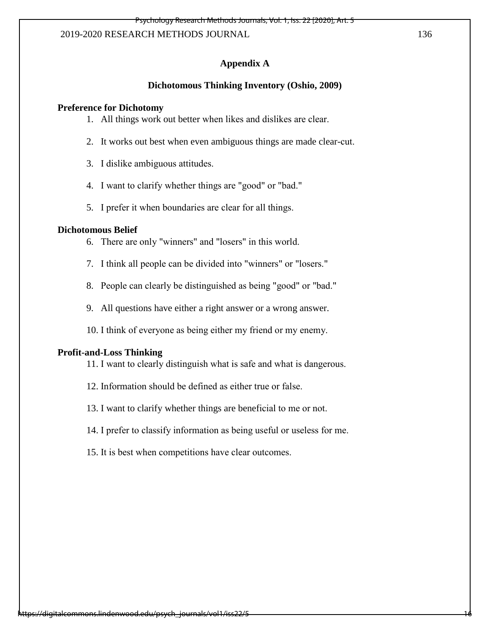#### **Appendix A**

#### **Dichotomous Thinking Inventory (Oshio, 2009)**

#### **Preference for Dichotomy**

- 1. All things work out better when likes and dislikes are clear.
- 2. It works out best when even ambiguous things are made clear-cut.
- 3. I dislike ambiguous attitudes.
- 4. I want to clarify whether things are "good" or "bad."
- 5. I prefer it when boundaries are clear for all things.

## **Dichotomous Belief**

- 6. There are only "winners" and "losers" in this world.
- 7. I think all people can be divided into "winners" or "losers."
- 8. People can clearly be distinguished as being "good" or "bad."
- 9. All questions have either a right answer or a wrong answer.
- 10. I think of everyone as being either my friend or my enemy.

#### **Profit-and-Loss Thinking**

- 11. I want to clearly distinguish what is safe and what is dangerous.
- 12. Information should be defined as either true or false.
- 13. I want to clarify whether things are beneficial to me or not.
- 14. I prefer to classify information as being useful or useless for me.
- 15. It is best when competitions have clear outcomes.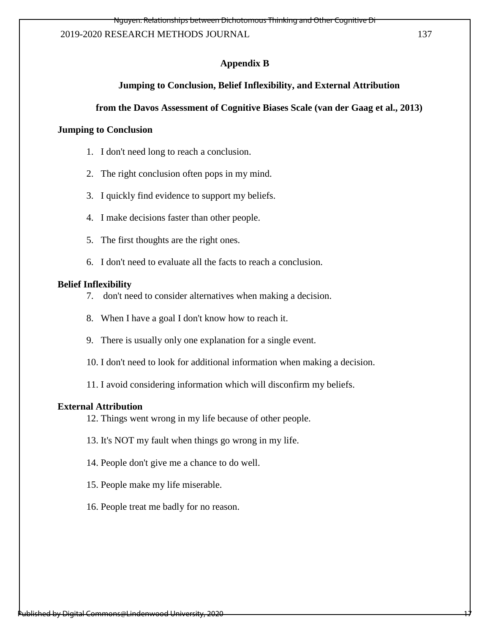## **Appendix B**

## **Jumping to Conclusion, Belief Inflexibility, and External Attribution**

## **from the Davos Assessment of Cognitive Biases Scale (van der Gaag et al., 2013)**

## **Jumping to Conclusion**

- 1. I don't need long to reach a conclusion.
- 2. The right conclusion often pops in my mind.
- 3. I quickly find evidence to support my beliefs.
- 4. I make decisions faster than other people.
- 5. The first thoughts are the right ones.
- 6. I don't need to evaluate all the facts to reach a conclusion.

#### **Belief Inflexibility**

- 7. don't need to consider alternatives when making a decision.
- 8. When I have a goal I don't know how to reach it.
- 9. There is usually only one explanation for a single event.
- 10. I don't need to look for additional information when making a decision.

11. I avoid considering information which will disconfirm my beliefs.

#### **External Attribution**

12. Things went wrong in my life because of other people.

- 13. It's NOT my fault when things go wrong in my life.
- 14. People don't give me a chance to do well.
- 15. People make my life miserable.
- 16. People treat me badly for no reason.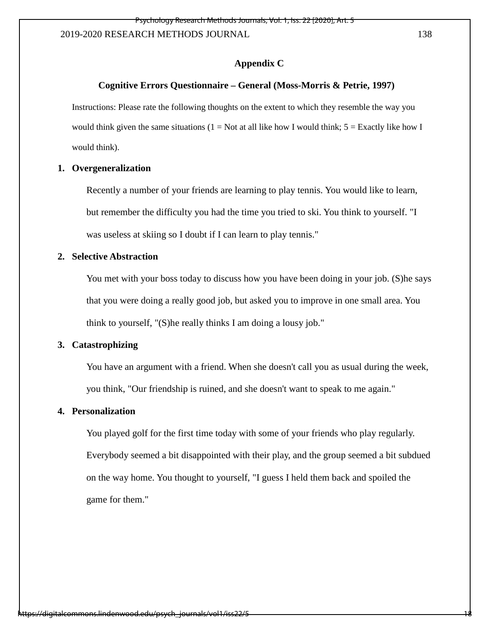#### **Appendix C**

#### **Cognitive Errors Questionnaire – General (Moss-Morris & Petrie, 1997)**

Instructions: Please rate the following thoughts on the extent to which they resemble the way you would think given the same situations ( $1 = Not$  at all like how I would think;  $5 = Exactly$  like how I would think).

#### **1. Overgeneralization**

Recently a number of your friends are learning to play tennis. You would like to learn, but remember the difficulty you had the time you tried to ski. You think to yourself. "I was useless at skiing so I doubt if I can learn to play tennis."

## **2. Selective Abstraction**

You met with your boss today to discuss how you have been doing in your job. (S) he says that you were doing a really good job, but asked you to improve in one small area. You think to yourself, "(S)he really thinks I am doing a lousy job."

#### **3. Catastrophizing**

You have an argument with a friend. When she doesn't call you as usual during the week, you think, "Our friendship is ruined, and she doesn't want to speak to me again."

## **4. Personalization**

You played golf for the first time today with some of your friends who play regularly. Everybody seemed a bit disappointed with their play, and the group seemed a bit subdued on the way home. You thought to yourself, "I guess I held them back and spoiled the game for them."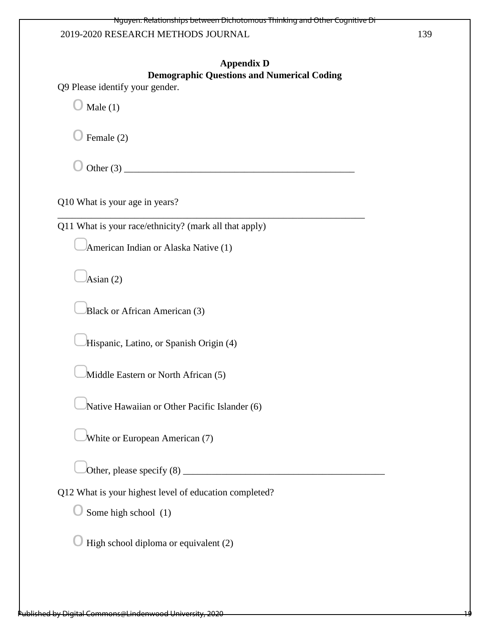## **Appendix D**

## **Demographic Questions and Numerical Coding**

Q9 Please identify your gender.

 $\bigcirc$  Male (1)

 $\bigcirc$  Female (2)

 $\bigcirc$  Other (3)

Q10 What is your age in years?

Q11 What is your race/ethnicity? (mark all that apply)

\_\_\_\_\_\_\_\_\_\_\_\_\_\_\_\_\_\_\_\_\_\_\_\_\_\_\_\_\_\_\_\_\_\_\_\_\_\_\_\_\_\_\_\_\_\_\_\_\_\_\_\_\_\_\_\_\_\_\_\_\_\_\_\_

▢American Indian or Alaska Native (1)

 $\lambda$ sian (2)

▢Black or African American (3)

▢Hispanic, Latino, or Spanish Origin (4)

Middle Eastern or North African (5)

Native Hawaiian or Other Pacific Islander (6)

▢White or European American (7)

▢Other, please specify (8) \_\_\_\_\_\_\_\_\_\_\_\_\_\_\_\_\_\_\_\_\_\_\_\_\_\_\_\_\_\_\_\_\_\_\_\_\_\_\_\_\_\_

Q12 What is your highest level of education completed?

 $\bigcirc$  Some high school (1)

 $\bigcirc$  High school diploma or equivalent (2)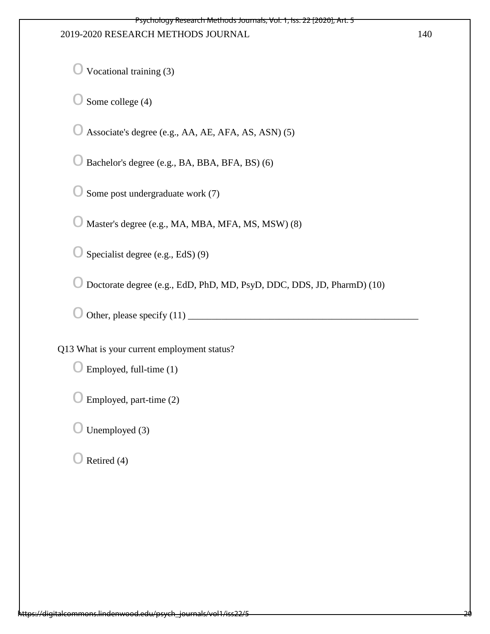$\bigcirc$  Vocational training (3)

 $\bigcirc$  Some college (4)

 $\bigcirc$  Associate's degree (e.g., AA, AE, AFA, AS, ASN) (5)

o Bachelor's degree (e.g., BA, BBA, BFA, BS) (6)

 $\bigcirc$  Some post undergraduate work (7)

 $\bigcirc$  Master's degree (e.g., MA, MBA, MFA, MS, MSW) (8)

 $\bigcirc$  Specialist degree (e.g., EdS) (9)

o Doctorate degree (e.g., EdD, PhD, MD, PsyD, DDC, DDS, JD, PharmD) (10)

o Other, please specify (11) \_\_\_\_\_\_\_\_\_\_\_\_\_\_\_\_\_\_\_\_\_\_\_\_\_\_\_\_\_\_\_\_\_\_\_\_\_\_\_\_\_\_\_\_\_\_\_\_

Q13 What is your current employment status?

- $\bigcirc$  Employed, full-time (1)
- $\bigcirc$  Employed, part-time (2)

 $\bigcirc$  Unemployed (3)

 $\bigcirc$  Retired (4)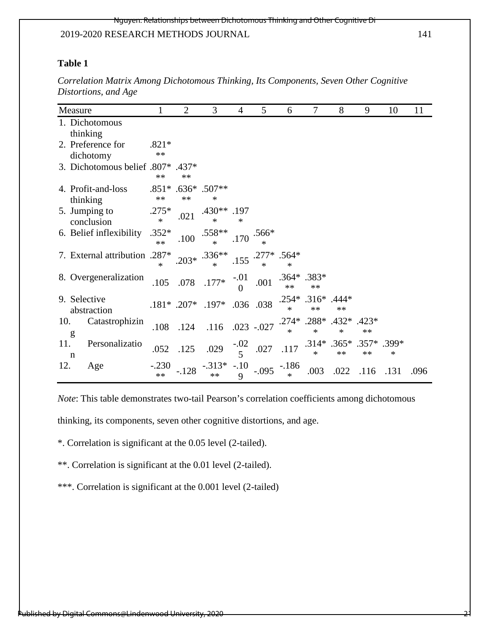#### Nguyen: Relationships between Dichotomous Thinking and Other Cognitive Di

#### 2019-2020 RESEARCH METHODS JOURNAL 141

## **Table 1**

| Measure                        | 1                 | $\overline{2}$ | 3                                  | $\overline{4}$           | 5                 | 6                 | 7                       | 8                             | 9             | 10   | 11   |
|--------------------------------|-------------------|----------------|------------------------------------|--------------------------|-------------------|-------------------|-------------------------|-------------------------------|---------------|------|------|
| 1. Dichotomous<br>thinking     |                   |                |                                    |                          |                   |                   |                         |                               |               |      |      |
| 2. Preference for<br>dichotomy | $.821*$<br>**     |                |                                    |                          |                   |                   |                         |                               |               |      |      |
| 3. Dichotomous belief .807*    | **                | .437*<br>**    |                                    |                          |                   |                   |                         |                               |               |      |      |
| 4. Profit-and-loss<br>thinking | $**$              | **             | $.851*$ $.636*$ $.507**$<br>$\ast$ |                          |                   |                   |                         |                               |               |      |      |
| 5. Jumping to<br>conclusion    | $.275*$<br>$\ast$ | .021           | .430**<br>$\ast$                   | .197<br>$\ast$           |                   |                   |                         |                               |               |      |      |
| 6. Belief inflexibility        | $.352*$<br>$**$   | .100           | $.558**$                           | .170                     | $.566*$           |                   |                         |                               |               |      |      |
| 7. External attribution .287*  | $\ast$            |                | $.203*$ $.336**$                   | .155                     | $.277*$<br>$\ast$ | $.564*$<br>$\ast$ |                         |                               |               |      |      |
| 8. Overgeneralization          | .105              |                | $.078$ $.177*$                     | $-01$<br>0               | .001              | $**$              | $.364*$ .383*<br>$**$   |                               |               |      |      |
| 9. Selective<br>abstraction    |                   | $.181*$ .207*  | .197* .036 .038                    |                          |                   | $.254*$<br>$\ast$ | $.316*$<br>$**$         | $.444*$<br>$**$               |               |      |      |
| Catastrophizin<br>10.<br>g     | .108              | .124           | .116                               |                          | $.023 - .027$     | $\ast$            | $.274*$ .288*<br>$\ast$ | $.432*$<br>∗                  | .423*<br>$**$ |      |      |
| 11.<br>Personalizatio<br>n     | .052              | .125           | .029                               | $-0.02$                  | $.027\,$          | .117              | $\ast$                  | .314* .365* .357* .399*<br>** | $**$          | *    |      |
| 12.<br>Age                     | $-.230$<br>$**$   |                | $-.313*$                           | $-.10$<br>$\overline{Q}$ |                   | $-186$<br>$\ast$  | .003                    | .022                          | .116          | .131 | .096 |

*Correlation Matrix Among Dichotomous Thinking, Its Components, Seven Other Cognitive Distortions, and Age*

*Note*: This table demonstrates two-tail Pearson's correlation coefficients among dichotomous

thinking, its components, seven other cognitive distortions, and age.

\*. Correlation is significant at the 0.05 level (2-tailed).

\*\*. Correlation is significant at the 0.01 level (2-tailed).

\*\*\*. Correlation is significant at the 0.001 level (2-tailed)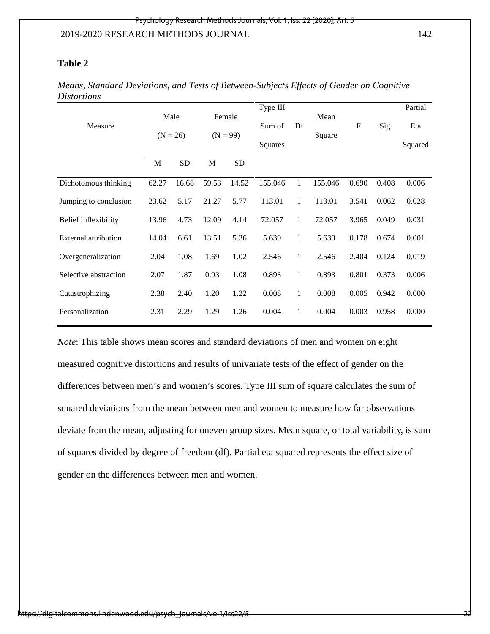## **Table 2**

| Measure               | Male<br>$(N = 26)$ |           | Female<br>$(N = 99)$ |           | Type III<br>Sum of | Df           | Mean    | $\mathbf{F}$ | Sig.  | Partial<br>Eta |
|-----------------------|--------------------|-----------|----------------------|-----------|--------------------|--------------|---------|--------------|-------|----------------|
|                       |                    |           |                      |           | Squares            |              | Square  |              |       | Squared        |
|                       | M                  | <b>SD</b> | M                    | <b>SD</b> |                    |              |         |              |       |                |
| Dichotomous thinking  | 62.27              | 16.68     | 59.53                | 14.52     | 155.046            | 1            | 155.046 | 0.690        | 0.408 | 0.006          |
| Jumping to conclusion | 23.62              | 5.17      | 21.27                | 5.77      | 113.01             | 1            | 113.01  | 3.541        | 0.062 | 0.028          |
| Belief inflexibility  | 13.96              | 4.73      | 12.09                | 4.14      | 72.057             | $\mathbf{1}$ | 72.057  | 3.965        | 0.049 | 0.031          |
| External attribution  | 14.04              | 6.61      | 13.51                | 5.36      | 5.639              | 1            | 5.639   | 0.178        | 0.674 | 0.001          |
| Overgeneralization    | 2.04               | 1.08      | 1.69                 | 1.02      | 2.546              | 1            | 2.546   | 2.404        | 0.124 | 0.019          |
| Selective abstraction | 2.07               | 1.87      | 0.93                 | 1.08      | 0.893              | 1            | 0.893   | 0.801        | 0.373 | 0.006          |
| Catastrophizing       | 2.38               | 2.40      | 1.20                 | 1.22      | 0.008              | 1            | 0.008   | 0.005        | 0.942 | 0.000          |
| Personalization       | 2.31               | 2.29      | 1.29                 | 1.26      | 0.004              | $\mathbf{1}$ | 0.004   | 0.003        | 0.958 | 0.000          |

*Means, Standard Deviations, and Tests of Between-Subjects Effects of Gender on Cognitive Distortions*

*Note*: This table shows mean scores and standard deviations of men and women on eight measured cognitive distortions and results of univariate tests of the effect of gender on the differences between men's and women's scores. Type III sum of square calculates the sum of squared deviations from the mean between men and women to measure how far observations deviate from the mean, adjusting for uneven group sizes. Mean square, or total variability, is sum of squares divided by degree of freedom (df). Partial eta squared represents the effect size of gender on the differences between men and women.